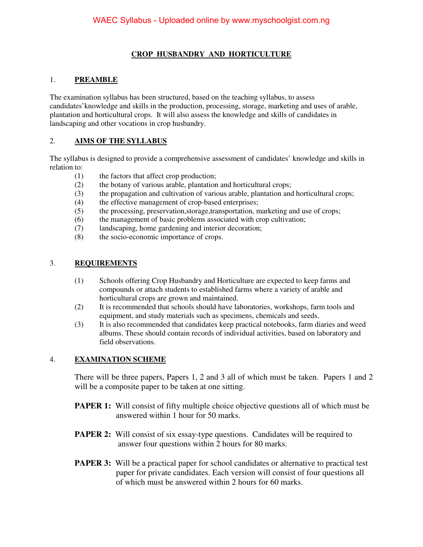#### **CROP HUSBANDRY AND HORTICULTURE**

#### 1. **PREAMBLE**

The examination syllabus has been structured, based on the teaching syllabus, to assess candidates'knowledge and skills in the production, processing, storage, marketing and uses of arable, plantation and horticultural crops. It will also assess the knowledge and skills of candidates in landscaping and other vocations in crop husbandry.

#### 2. **AIMS OF THE SYLLABUS**

The syllabus is designed to provide a comprehensive assessment of candidates' knowledge and skills in relation to:

- (1) the factors that affect crop production;
- (2) the botany of various arable, plantation and horticultural crops;
- (3) the propagation and cultivation of various arable, plantation and horticultural crops;
- (4) the effective management of crop-based enterprises;
- (5) the processing, preservation,storage,transportation, marketing and use of crops;
- (6) the management of basic problems associated with crop cultivation;
- (7) landscaping, home gardening and interior decoration;
- (8) the socio-economic importance of crops.

#### 3. **REQUIREMENTS**

- (1) Schools offering Crop Husbandry and Horticulture are expected to keep farms and compounds or attach students to established farms where a variety of arable and horticultural crops are grown and maintained.
- (2) It is recommended that schools should have laboratories, workshops, farm tools and equipment, and study materials such as specimens, chemicals and seeds.
- (3) It is also recommended that candidates keep practical notebooks, farm diaries and weed albums. These should contain records of individual activities, based on laboratory and field observations.

#### 4. **EXAMINATION SCHEME**

There will be three papers, Papers 1, 2 and 3 all of which must be taken. Papers 1 and 2 will be a composite paper to be taken at one sitting.

- **PAPER 1:** Will consist of fifty multiple choice objective questions all of which must be answered within 1 hour for 50 marks.
- **PAPER 2:** Will consist of six essay-type questions. Candidates will be required to answer four questions within 2 hours for 80 marks.
- **PAPER 3:** Will be a practical paper for school candidates or alternative to practical test paper for private candidates. Each version will consist of four questions all of which must be answered within 2 hours for 60 marks.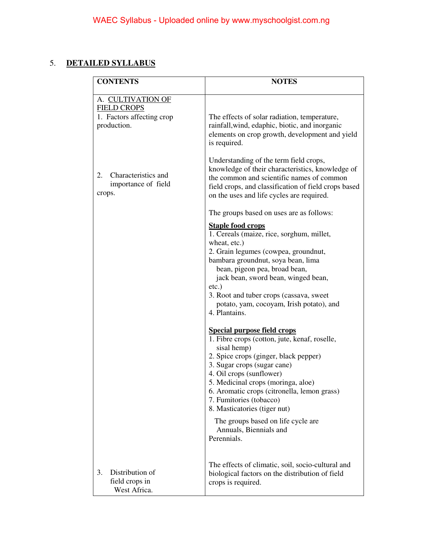#### 5. **DETAILED SYLLABUS**

| <b>CONTENTS</b>                                            | <b>NOTES</b>                                                                                                                                                                                                                                                                                                                                                    |
|------------------------------------------------------------|-----------------------------------------------------------------------------------------------------------------------------------------------------------------------------------------------------------------------------------------------------------------------------------------------------------------------------------------------------------------|
| A. CULTIVATION OF<br><b>FIELD CROPS</b>                    |                                                                                                                                                                                                                                                                                                                                                                 |
| 1. Factors affecting crop<br>production.                   | The effects of solar radiation, temperature,<br>rainfall, wind, edaphic, biotic, and inorganic<br>elements on crop growth, development and yield<br>is required.                                                                                                                                                                                                |
| Characteristics and<br>2.<br>importance of field<br>crops. | Understanding of the term field crops,<br>knowledge of their characteristics, knowledge of<br>the common and scientific names of common<br>field crops, and classification of field crops based<br>on the uses and life cycles are required.                                                                                                                    |
|                                                            | The groups based on uses are as follows:                                                                                                                                                                                                                                                                                                                        |
|                                                            | <b>Staple food crops</b><br>1. Cereals (maize, rice, sorghum, millet,<br>wheat, etc.)<br>2. Grain legumes (cowpea, groundnut,<br>bambara groundnut, soya bean, lima<br>bean, pigeon pea, broad bean,<br>jack bean, sword bean, winged bean,<br>$etc.$ )<br>3. Root and tuber crops (cassava, sweet<br>potato, yam, cocoyam, Irish potato), and<br>4. Plantains. |
|                                                            | <b>Special purpose field crops</b><br>1. Fibre crops (cotton, jute, kenaf, roselle,                                                                                                                                                                                                                                                                             |
|                                                            | sisal hemp)<br>2. Spice crops (ginger, black pepper)<br>3. Sugar crops (sugar cane)<br>4. Oil crops (sunflower)<br>5. Medicinal crops (moringa, aloe)<br>6. Aromatic crops (citronella, lemon grass)<br>7. Fumitories (tobacco)<br>8. Masticatories (tiger nut)                                                                                                 |
|                                                            | The groups based on life cycle are<br>Annuals, Biennials and<br>Perennials.                                                                                                                                                                                                                                                                                     |
| Distribution of<br>3.<br>field crops in<br>West Africa.    | The effects of climatic, soil, socio-cultural and<br>biological factors on the distribution of field<br>crops is required.                                                                                                                                                                                                                                      |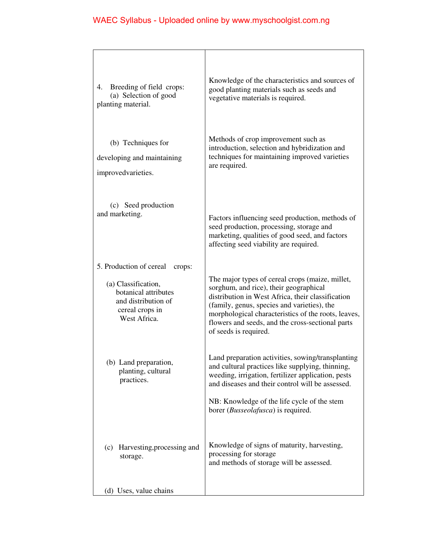| 4. Breeding of field crops:<br>(a) Selection of good<br>planting material.                                                                 | Knowledge of the characteristics and sources of<br>good planting materials such as seeds and<br>vegetative materials is required.                                                                                                                                                                                                 |
|--------------------------------------------------------------------------------------------------------------------------------------------|-----------------------------------------------------------------------------------------------------------------------------------------------------------------------------------------------------------------------------------------------------------------------------------------------------------------------------------|
| (b) Techniques for<br>developing and maintaining<br>improvedvarieties.                                                                     | Methods of crop improvement such as<br>introduction, selection and hybridization and<br>techniques for maintaining improved varieties<br>are required.                                                                                                                                                                            |
| (c) Seed production<br>and marketing.                                                                                                      | Factors influencing seed production, methods of<br>seed production, processing, storage and<br>marketing, qualities of good seed, and factors<br>affecting seed viability are required.                                                                                                                                           |
| 5. Production of cereal<br>crops:<br>(a) Classification,<br>botanical attributes<br>and distribution of<br>cereal crops in<br>West Africa. | The major types of cereal crops (maize, millet,<br>sorghum, and rice), their geographical<br>distribution in West Africa, their classification<br>(family, genus, species and varieties), the<br>morphological characteristics of the roots, leaves,<br>flowers and seeds, and the cross-sectional parts<br>of seeds is required. |
| (b) Land preparation,<br>planting, cultural<br>practices.                                                                                  | Land preparation activities, sowing/transplanting<br>and cultural practices like supplying, thinning,<br>weeding, irrigation, fertilizer application, pests<br>and diseases and their control will be assessed.<br>NB: Knowledge of the life cycle of the stem<br>borer ( <i>Busseolafusca</i> ) is required.                     |
| Harvesting, processing and<br>(c)<br>storage.<br>(d) Uses, value chains                                                                    | Knowledge of signs of maturity, harvesting,<br>processing for storage<br>and methods of storage will be assessed.                                                                                                                                                                                                                 |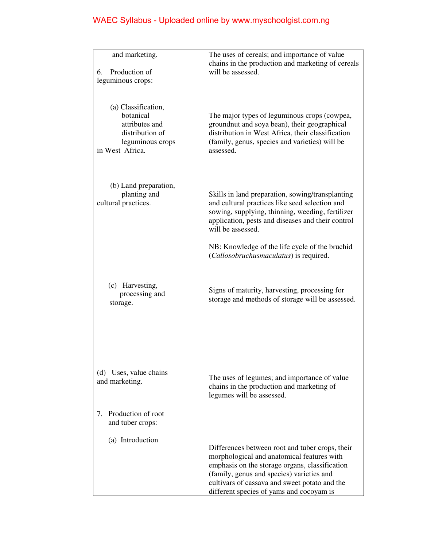| and marketing.<br>Production of<br>6.<br>leguminous crops:                                                   | The uses of cereals; and importance of value<br>chains in the production and marketing of cereals<br>will be assessed.                                                                                                                                                                    |
|--------------------------------------------------------------------------------------------------------------|-------------------------------------------------------------------------------------------------------------------------------------------------------------------------------------------------------------------------------------------------------------------------------------------|
| (a) Classification,<br>botanical<br>attributes and<br>distribution of<br>leguminous crops<br>in West Africa. | The major types of leguminous crops (cowpea,<br>groundnut and soya bean), their geographical<br>distribution in West Africa, their classification<br>(family, genus, species and varieties) will be<br>assessed.                                                                          |
| (b) Land preparation,<br>planting and<br>cultural practices.                                                 | Skills in land preparation, sowing/transplanting<br>and cultural practices like seed selection and<br>sowing, supplying, thinning, weeding, fertilizer<br>application, pests and diseases and their control<br>will be assessed.                                                          |
|                                                                                                              | NB: Knowledge of the life cycle of the bruchid<br>(Callosobruchusmaculatus) is required.                                                                                                                                                                                                  |
| (c) Harvesting,<br>processing and<br>storage.                                                                | Signs of maturity, harvesting, processing for<br>storage and methods of storage will be assessed.                                                                                                                                                                                         |
| (d) Uses, value chains<br>and marketing.<br>7. Production of root<br>and tuber crops:                        | The uses of legumes; and importance of value<br>chains in the production and marketing of<br>legumes will be assessed.                                                                                                                                                                    |
| (a) Introduction                                                                                             | Differences between root and tuber crops, their<br>morphological and anatomical features with<br>emphasis on the storage organs, classification<br>(family, genus and species) varieties and<br>cultivars of cassava and sweet potato and the<br>different species of yams and cocoyam is |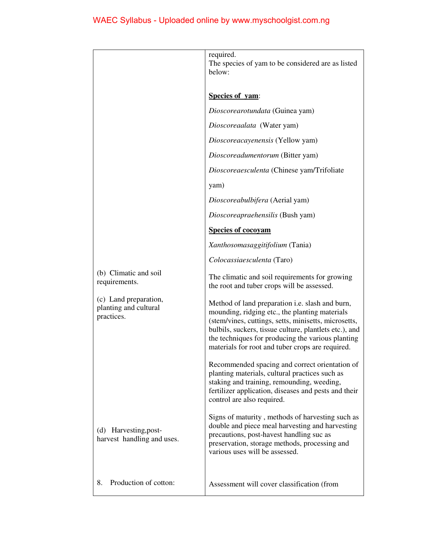|                                                              | required.<br>The species of yam to be considered are as listed<br>below:                                                                                                                                                                                                                                                            |
|--------------------------------------------------------------|-------------------------------------------------------------------------------------------------------------------------------------------------------------------------------------------------------------------------------------------------------------------------------------------------------------------------------------|
|                                                              | Species of yam:                                                                                                                                                                                                                                                                                                                     |
|                                                              | Dioscorearotundata (Guinea yam)                                                                                                                                                                                                                                                                                                     |
|                                                              | Dioscoreaalata (Water yam)                                                                                                                                                                                                                                                                                                          |
|                                                              | Dioscoreacayenensis (Yellow yam)                                                                                                                                                                                                                                                                                                    |
|                                                              | Dioscoreadumentorum (Bitter yam)                                                                                                                                                                                                                                                                                                    |
|                                                              | Dioscoreaesculenta (Chinese yam/Trifoliate                                                                                                                                                                                                                                                                                          |
|                                                              | yam)                                                                                                                                                                                                                                                                                                                                |
|                                                              | Dioscoreabulbifera (Aerial yam)                                                                                                                                                                                                                                                                                                     |
|                                                              | Dioscoreapraehensilis (Bush yam)                                                                                                                                                                                                                                                                                                    |
|                                                              | <b>Species of cocoyam</b>                                                                                                                                                                                                                                                                                                           |
|                                                              | Xanthosomasaggitifolium (Tania)                                                                                                                                                                                                                                                                                                     |
|                                                              | Colocassiaesculenta (Taro)                                                                                                                                                                                                                                                                                                          |
| (b) Climatic and soil<br>requirements.                       | The climatic and soil requirements for growing<br>the root and tuber crops will be assessed.                                                                                                                                                                                                                                        |
| (c) Land preparation,<br>planting and cultural<br>practices. | Method of land preparation <i>i.e.</i> slash and burn,<br>mounding, ridging etc., the planting materials<br>(stem/vines, cuttings, setts, minisetts, microsetts,<br>bulbils, suckers, tissue culture, plantlets etc.), and<br>the techniques for producing the various planting<br>materials for root and tuber crops are required. |
|                                                              | Recommended spacing and correct orientation of<br>planting materials, cultural practices such as<br>staking and training, remounding, weeding,<br>fertilizer application, diseases and pests and their<br>control are also required.                                                                                                |
| (d) Harvesting, post-<br>harvest handling and uses.          | Signs of maturity, methods of harvesting such as<br>double and piece meal harvesting and harvesting<br>precautions, post-havest handling suc as<br>preservation, storage methods, processing and<br>various uses will be assessed.                                                                                                  |
| Production of cotton:<br>8.                                  | Assessment will cover classification (from                                                                                                                                                                                                                                                                                          |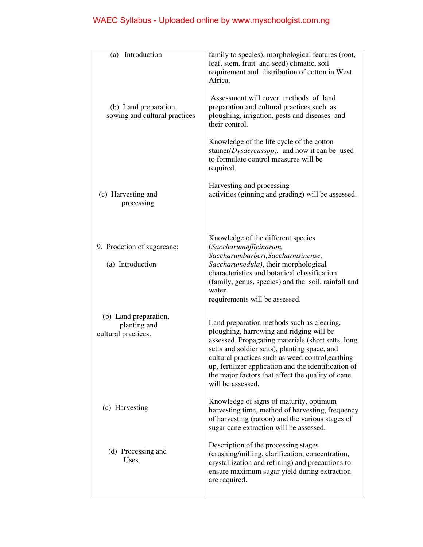| Introduction<br>(a)                                          | family to species), morphological features (root,<br>leaf, stem, fruit and seed) climatic, soil<br>requirement and distribution of cotton in West<br>Africa.                                                                                                                                                                                                                          |
|--------------------------------------------------------------|---------------------------------------------------------------------------------------------------------------------------------------------------------------------------------------------------------------------------------------------------------------------------------------------------------------------------------------------------------------------------------------|
| (b) Land preparation,<br>sowing and cultural practices       | Assessment will cover methods of land<br>preparation and cultural practices such as<br>ploughing, irrigation, pests and diseases and<br>their control.                                                                                                                                                                                                                                |
|                                                              | Knowledge of the life cycle of the cotton<br>stainer(Dysdercusspp). and how it can be used<br>to formulate control measures will be<br>required.                                                                                                                                                                                                                                      |
| (c) Harvesting and<br>processing                             | Harvesting and processing<br>activities (ginning and grading) will be assessed.                                                                                                                                                                                                                                                                                                       |
| 9. Prodction of sugarcane:<br>(a) Introduction               | Knowledge of the different species<br>(Saccharumofficinarum,<br>Saccharumbarberi, Saccharmsinense,<br>Saccharumedula), their morphological<br>characteristics and botanical classification<br>(family, genus, species) and the soil, rainfall and<br>water<br>requirements will be assessed.                                                                                          |
| (b) Land preparation,<br>planting and<br>cultural practices. | Land preparation methods such as clearing,<br>ploughing, harrowing and ridging will be<br>assessed. Propagating materials (short setts, long<br>setts and soldier setts), planting space, and<br>cultural practices such as weed control, earthing-<br>up, fertilizer application and the identification of<br>the major factors that affect the quality of cane<br>will be assessed. |
| (c) Harvesting                                               | Knowledge of signs of maturity, optimum<br>harvesting time, method of harvesting, frequency<br>of harvesting (ratoon) and the various stages of<br>sugar cane extraction will be assessed.                                                                                                                                                                                            |
| (d) Processing and<br>Uses                                   | Description of the processing stages<br>(crushing/milling, clarification, concentration,<br>crystallization and refining) and precautions to<br>ensure maximum sugar yield during extraction<br>are required.                                                                                                                                                                         |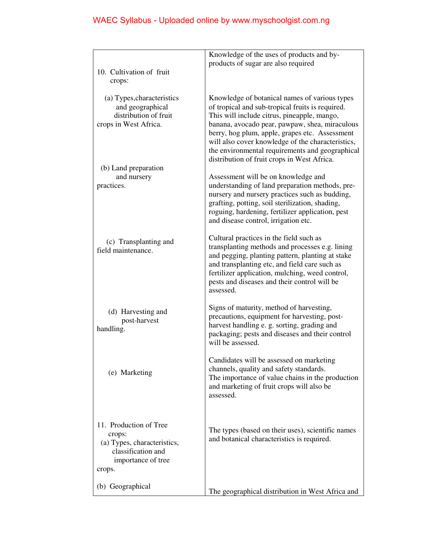| products of sugar are also required<br>10. Cultivation of fruit<br>crops:<br>(a) Types, characteristics<br>Knowledge of botanical names of various types<br>and geographical<br>of tropical and sub-tropical fruits is required.<br>distribution of fruit<br>This will include citrus, pineapple, mango,<br>banana, avocado pear, pawpaw, shea, miraculous<br>crops in West Africa.<br>berry, hog plum, apple, grapes etc. Assessment<br>will also cover knowledge of the characteristics,<br>the environmental requirements and geographical<br>distribution of fruit crops in West Africa.<br>(b) Land preparation<br>and nursery<br>Assessment will be on knowledge and<br>understanding of land preparation methods, pre-<br>practices.<br>nursery and nursery practices such as budding,<br>grafting, potting, soil sterilization, shading,<br>roguing, hardening, fertilizer application, pest<br>and disease control, irrigation etc.<br>Cultural practices in the field such as<br>(c) Transplanting and<br>transplanting methods and processes e.g. lining<br>field maintenance.<br>and pegging, planting pattern, planting at stake<br>and transplanting etc, and field care such as<br>fertilizer application, mulching, weed control,<br>pests and diseases and their control will be<br>assessed.<br>Signs of maturity, method of harvesting,<br>(d) Harvesting and<br>precautions, equipment for harvesting, post-<br>post-harvest<br>harvest handling e. g. sorting, grading and<br>handling.<br>packaging; pests and diseases and their control<br>will be assessed.<br>Candidates will be assessed on marketing<br>channels, quality and safety standards.<br>(e) Marketing<br>The importance of value chains in the production<br>and marketing of fruit crops will also be<br>assessed.<br>11. Production of Tree<br>The types (based on their uses), scientific names<br>crops:<br>and botanical characteristics is required.<br>(a) Types, characteristics,<br>classification and<br>importance of tree<br>crops.<br>(b) Geographical<br>The geographical distribution in West Africa and | Knowledge of the uses of products and by- |
|----------------------------------------------------------------------------------------------------------------------------------------------------------------------------------------------------------------------------------------------------------------------------------------------------------------------------------------------------------------------------------------------------------------------------------------------------------------------------------------------------------------------------------------------------------------------------------------------------------------------------------------------------------------------------------------------------------------------------------------------------------------------------------------------------------------------------------------------------------------------------------------------------------------------------------------------------------------------------------------------------------------------------------------------------------------------------------------------------------------------------------------------------------------------------------------------------------------------------------------------------------------------------------------------------------------------------------------------------------------------------------------------------------------------------------------------------------------------------------------------------------------------------------------------------------------------------------------------------------------------------------------------------------------------------------------------------------------------------------------------------------------------------------------------------------------------------------------------------------------------------------------------------------------------------------------------------------------------------------------------------------------------------------------------------------------------------------------------------------------|-------------------------------------------|
|                                                                                                                                                                                                                                                                                                                                                                                                                                                                                                                                                                                                                                                                                                                                                                                                                                                                                                                                                                                                                                                                                                                                                                                                                                                                                                                                                                                                                                                                                                                                                                                                                                                                                                                                                                                                                                                                                                                                                                                                                                                                                                                |                                           |
|                                                                                                                                                                                                                                                                                                                                                                                                                                                                                                                                                                                                                                                                                                                                                                                                                                                                                                                                                                                                                                                                                                                                                                                                                                                                                                                                                                                                                                                                                                                                                                                                                                                                                                                                                                                                                                                                                                                                                                                                                                                                                                                |                                           |
|                                                                                                                                                                                                                                                                                                                                                                                                                                                                                                                                                                                                                                                                                                                                                                                                                                                                                                                                                                                                                                                                                                                                                                                                                                                                                                                                                                                                                                                                                                                                                                                                                                                                                                                                                                                                                                                                                                                                                                                                                                                                                                                |                                           |
|                                                                                                                                                                                                                                                                                                                                                                                                                                                                                                                                                                                                                                                                                                                                                                                                                                                                                                                                                                                                                                                                                                                                                                                                                                                                                                                                                                                                                                                                                                                                                                                                                                                                                                                                                                                                                                                                                                                                                                                                                                                                                                                |                                           |
|                                                                                                                                                                                                                                                                                                                                                                                                                                                                                                                                                                                                                                                                                                                                                                                                                                                                                                                                                                                                                                                                                                                                                                                                                                                                                                                                                                                                                                                                                                                                                                                                                                                                                                                                                                                                                                                                                                                                                                                                                                                                                                                |                                           |
|                                                                                                                                                                                                                                                                                                                                                                                                                                                                                                                                                                                                                                                                                                                                                                                                                                                                                                                                                                                                                                                                                                                                                                                                                                                                                                                                                                                                                                                                                                                                                                                                                                                                                                                                                                                                                                                                                                                                                                                                                                                                                                                |                                           |
|                                                                                                                                                                                                                                                                                                                                                                                                                                                                                                                                                                                                                                                                                                                                                                                                                                                                                                                                                                                                                                                                                                                                                                                                                                                                                                                                                                                                                                                                                                                                                                                                                                                                                                                                                                                                                                                                                                                                                                                                                                                                                                                |                                           |
|                                                                                                                                                                                                                                                                                                                                                                                                                                                                                                                                                                                                                                                                                                                                                                                                                                                                                                                                                                                                                                                                                                                                                                                                                                                                                                                                                                                                                                                                                                                                                                                                                                                                                                                                                                                                                                                                                                                                                                                                                                                                                                                |                                           |
|                                                                                                                                                                                                                                                                                                                                                                                                                                                                                                                                                                                                                                                                                                                                                                                                                                                                                                                                                                                                                                                                                                                                                                                                                                                                                                                                                                                                                                                                                                                                                                                                                                                                                                                                                                                                                                                                                                                                                                                                                                                                                                                |                                           |
|                                                                                                                                                                                                                                                                                                                                                                                                                                                                                                                                                                                                                                                                                                                                                                                                                                                                                                                                                                                                                                                                                                                                                                                                                                                                                                                                                                                                                                                                                                                                                                                                                                                                                                                                                                                                                                                                                                                                                                                                                                                                                                                |                                           |
|                                                                                                                                                                                                                                                                                                                                                                                                                                                                                                                                                                                                                                                                                                                                                                                                                                                                                                                                                                                                                                                                                                                                                                                                                                                                                                                                                                                                                                                                                                                                                                                                                                                                                                                                                                                                                                                                                                                                                                                                                                                                                                                |                                           |
|                                                                                                                                                                                                                                                                                                                                                                                                                                                                                                                                                                                                                                                                                                                                                                                                                                                                                                                                                                                                                                                                                                                                                                                                                                                                                                                                                                                                                                                                                                                                                                                                                                                                                                                                                                                                                                                                                                                                                                                                                                                                                                                |                                           |
|                                                                                                                                                                                                                                                                                                                                                                                                                                                                                                                                                                                                                                                                                                                                                                                                                                                                                                                                                                                                                                                                                                                                                                                                                                                                                                                                                                                                                                                                                                                                                                                                                                                                                                                                                                                                                                                                                                                                                                                                                                                                                                                |                                           |
|                                                                                                                                                                                                                                                                                                                                                                                                                                                                                                                                                                                                                                                                                                                                                                                                                                                                                                                                                                                                                                                                                                                                                                                                                                                                                                                                                                                                                                                                                                                                                                                                                                                                                                                                                                                                                                                                                                                                                                                                                                                                                                                |                                           |
|                                                                                                                                                                                                                                                                                                                                                                                                                                                                                                                                                                                                                                                                                                                                                                                                                                                                                                                                                                                                                                                                                                                                                                                                                                                                                                                                                                                                                                                                                                                                                                                                                                                                                                                                                                                                                                                                                                                                                                                                                                                                                                                |                                           |
|                                                                                                                                                                                                                                                                                                                                                                                                                                                                                                                                                                                                                                                                                                                                                                                                                                                                                                                                                                                                                                                                                                                                                                                                                                                                                                                                                                                                                                                                                                                                                                                                                                                                                                                                                                                                                                                                                                                                                                                                                                                                                                                |                                           |
|                                                                                                                                                                                                                                                                                                                                                                                                                                                                                                                                                                                                                                                                                                                                                                                                                                                                                                                                                                                                                                                                                                                                                                                                                                                                                                                                                                                                                                                                                                                                                                                                                                                                                                                                                                                                                                                                                                                                                                                                                                                                                                                |                                           |
|                                                                                                                                                                                                                                                                                                                                                                                                                                                                                                                                                                                                                                                                                                                                                                                                                                                                                                                                                                                                                                                                                                                                                                                                                                                                                                                                                                                                                                                                                                                                                                                                                                                                                                                                                                                                                                                                                                                                                                                                                                                                                                                |                                           |
|                                                                                                                                                                                                                                                                                                                                                                                                                                                                                                                                                                                                                                                                                                                                                                                                                                                                                                                                                                                                                                                                                                                                                                                                                                                                                                                                                                                                                                                                                                                                                                                                                                                                                                                                                                                                                                                                                                                                                                                                                                                                                                                |                                           |
|                                                                                                                                                                                                                                                                                                                                                                                                                                                                                                                                                                                                                                                                                                                                                                                                                                                                                                                                                                                                                                                                                                                                                                                                                                                                                                                                                                                                                                                                                                                                                                                                                                                                                                                                                                                                                                                                                                                                                                                                                                                                                                                |                                           |
|                                                                                                                                                                                                                                                                                                                                                                                                                                                                                                                                                                                                                                                                                                                                                                                                                                                                                                                                                                                                                                                                                                                                                                                                                                                                                                                                                                                                                                                                                                                                                                                                                                                                                                                                                                                                                                                                                                                                                                                                                                                                                                                |                                           |
|                                                                                                                                                                                                                                                                                                                                                                                                                                                                                                                                                                                                                                                                                                                                                                                                                                                                                                                                                                                                                                                                                                                                                                                                                                                                                                                                                                                                                                                                                                                                                                                                                                                                                                                                                                                                                                                                                                                                                                                                                                                                                                                |                                           |
|                                                                                                                                                                                                                                                                                                                                                                                                                                                                                                                                                                                                                                                                                                                                                                                                                                                                                                                                                                                                                                                                                                                                                                                                                                                                                                                                                                                                                                                                                                                                                                                                                                                                                                                                                                                                                                                                                                                                                                                                                                                                                                                |                                           |
|                                                                                                                                                                                                                                                                                                                                                                                                                                                                                                                                                                                                                                                                                                                                                                                                                                                                                                                                                                                                                                                                                                                                                                                                                                                                                                                                                                                                                                                                                                                                                                                                                                                                                                                                                                                                                                                                                                                                                                                                                                                                                                                |                                           |
|                                                                                                                                                                                                                                                                                                                                                                                                                                                                                                                                                                                                                                                                                                                                                                                                                                                                                                                                                                                                                                                                                                                                                                                                                                                                                                                                                                                                                                                                                                                                                                                                                                                                                                                                                                                                                                                                                                                                                                                                                                                                                                                |                                           |
|                                                                                                                                                                                                                                                                                                                                                                                                                                                                                                                                                                                                                                                                                                                                                                                                                                                                                                                                                                                                                                                                                                                                                                                                                                                                                                                                                                                                                                                                                                                                                                                                                                                                                                                                                                                                                                                                                                                                                                                                                                                                                                                |                                           |
|                                                                                                                                                                                                                                                                                                                                                                                                                                                                                                                                                                                                                                                                                                                                                                                                                                                                                                                                                                                                                                                                                                                                                                                                                                                                                                                                                                                                                                                                                                                                                                                                                                                                                                                                                                                                                                                                                                                                                                                                                                                                                                                |                                           |
|                                                                                                                                                                                                                                                                                                                                                                                                                                                                                                                                                                                                                                                                                                                                                                                                                                                                                                                                                                                                                                                                                                                                                                                                                                                                                                                                                                                                                                                                                                                                                                                                                                                                                                                                                                                                                                                                                                                                                                                                                                                                                                                |                                           |
|                                                                                                                                                                                                                                                                                                                                                                                                                                                                                                                                                                                                                                                                                                                                                                                                                                                                                                                                                                                                                                                                                                                                                                                                                                                                                                                                                                                                                                                                                                                                                                                                                                                                                                                                                                                                                                                                                                                                                                                                                                                                                                                |                                           |
|                                                                                                                                                                                                                                                                                                                                                                                                                                                                                                                                                                                                                                                                                                                                                                                                                                                                                                                                                                                                                                                                                                                                                                                                                                                                                                                                                                                                                                                                                                                                                                                                                                                                                                                                                                                                                                                                                                                                                                                                                                                                                                                |                                           |
|                                                                                                                                                                                                                                                                                                                                                                                                                                                                                                                                                                                                                                                                                                                                                                                                                                                                                                                                                                                                                                                                                                                                                                                                                                                                                                                                                                                                                                                                                                                                                                                                                                                                                                                                                                                                                                                                                                                                                                                                                                                                                                                |                                           |
|                                                                                                                                                                                                                                                                                                                                                                                                                                                                                                                                                                                                                                                                                                                                                                                                                                                                                                                                                                                                                                                                                                                                                                                                                                                                                                                                                                                                                                                                                                                                                                                                                                                                                                                                                                                                                                                                                                                                                                                                                                                                                                                |                                           |
|                                                                                                                                                                                                                                                                                                                                                                                                                                                                                                                                                                                                                                                                                                                                                                                                                                                                                                                                                                                                                                                                                                                                                                                                                                                                                                                                                                                                                                                                                                                                                                                                                                                                                                                                                                                                                                                                                                                                                                                                                                                                                                                |                                           |
|                                                                                                                                                                                                                                                                                                                                                                                                                                                                                                                                                                                                                                                                                                                                                                                                                                                                                                                                                                                                                                                                                                                                                                                                                                                                                                                                                                                                                                                                                                                                                                                                                                                                                                                                                                                                                                                                                                                                                                                                                                                                                                                |                                           |
|                                                                                                                                                                                                                                                                                                                                                                                                                                                                                                                                                                                                                                                                                                                                                                                                                                                                                                                                                                                                                                                                                                                                                                                                                                                                                                                                                                                                                                                                                                                                                                                                                                                                                                                                                                                                                                                                                                                                                                                                                                                                                                                |                                           |
|                                                                                                                                                                                                                                                                                                                                                                                                                                                                                                                                                                                                                                                                                                                                                                                                                                                                                                                                                                                                                                                                                                                                                                                                                                                                                                                                                                                                                                                                                                                                                                                                                                                                                                                                                                                                                                                                                                                                                                                                                                                                                                                |                                           |
|                                                                                                                                                                                                                                                                                                                                                                                                                                                                                                                                                                                                                                                                                                                                                                                                                                                                                                                                                                                                                                                                                                                                                                                                                                                                                                                                                                                                                                                                                                                                                                                                                                                                                                                                                                                                                                                                                                                                                                                                                                                                                                                |                                           |
|                                                                                                                                                                                                                                                                                                                                                                                                                                                                                                                                                                                                                                                                                                                                                                                                                                                                                                                                                                                                                                                                                                                                                                                                                                                                                                                                                                                                                                                                                                                                                                                                                                                                                                                                                                                                                                                                                                                                                                                                                                                                                                                |                                           |
|                                                                                                                                                                                                                                                                                                                                                                                                                                                                                                                                                                                                                                                                                                                                                                                                                                                                                                                                                                                                                                                                                                                                                                                                                                                                                                                                                                                                                                                                                                                                                                                                                                                                                                                                                                                                                                                                                                                                                                                                                                                                                                                |                                           |
|                                                                                                                                                                                                                                                                                                                                                                                                                                                                                                                                                                                                                                                                                                                                                                                                                                                                                                                                                                                                                                                                                                                                                                                                                                                                                                                                                                                                                                                                                                                                                                                                                                                                                                                                                                                                                                                                                                                                                                                                                                                                                                                |                                           |
|                                                                                                                                                                                                                                                                                                                                                                                                                                                                                                                                                                                                                                                                                                                                                                                                                                                                                                                                                                                                                                                                                                                                                                                                                                                                                                                                                                                                                                                                                                                                                                                                                                                                                                                                                                                                                                                                                                                                                                                                                                                                                                                |                                           |
|                                                                                                                                                                                                                                                                                                                                                                                                                                                                                                                                                                                                                                                                                                                                                                                                                                                                                                                                                                                                                                                                                                                                                                                                                                                                                                                                                                                                                                                                                                                                                                                                                                                                                                                                                                                                                                                                                                                                                                                                                                                                                                                |                                           |
|                                                                                                                                                                                                                                                                                                                                                                                                                                                                                                                                                                                                                                                                                                                                                                                                                                                                                                                                                                                                                                                                                                                                                                                                                                                                                                                                                                                                                                                                                                                                                                                                                                                                                                                                                                                                                                                                                                                                                                                                                                                                                                                |                                           |
|                                                                                                                                                                                                                                                                                                                                                                                                                                                                                                                                                                                                                                                                                                                                                                                                                                                                                                                                                                                                                                                                                                                                                                                                                                                                                                                                                                                                                                                                                                                                                                                                                                                                                                                                                                                                                                                                                                                                                                                                                                                                                                                |                                           |
|                                                                                                                                                                                                                                                                                                                                                                                                                                                                                                                                                                                                                                                                                                                                                                                                                                                                                                                                                                                                                                                                                                                                                                                                                                                                                                                                                                                                                                                                                                                                                                                                                                                                                                                                                                                                                                                                                                                                                                                                                                                                                                                |                                           |
|                                                                                                                                                                                                                                                                                                                                                                                                                                                                                                                                                                                                                                                                                                                                                                                                                                                                                                                                                                                                                                                                                                                                                                                                                                                                                                                                                                                                                                                                                                                                                                                                                                                                                                                                                                                                                                                                                                                                                                                                                                                                                                                |                                           |
|                                                                                                                                                                                                                                                                                                                                                                                                                                                                                                                                                                                                                                                                                                                                                                                                                                                                                                                                                                                                                                                                                                                                                                                                                                                                                                                                                                                                                                                                                                                                                                                                                                                                                                                                                                                                                                                                                                                                                                                                                                                                                                                |                                           |
|                                                                                                                                                                                                                                                                                                                                                                                                                                                                                                                                                                                                                                                                                                                                                                                                                                                                                                                                                                                                                                                                                                                                                                                                                                                                                                                                                                                                                                                                                                                                                                                                                                                                                                                                                                                                                                                                                                                                                                                                                                                                                                                |                                           |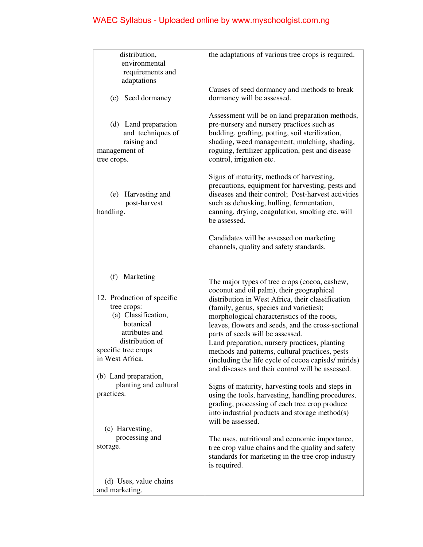| distribution,<br>environmental<br>requirements and<br>adaptations                                                                                                                                                                                                | the adaptations of various tree crops is required.                                                                                                                                                                                                                                                                                                                                                                                                                                                                                                                                                                                                                                                                                                                                 |
|------------------------------------------------------------------------------------------------------------------------------------------------------------------------------------------------------------------------------------------------------------------|------------------------------------------------------------------------------------------------------------------------------------------------------------------------------------------------------------------------------------------------------------------------------------------------------------------------------------------------------------------------------------------------------------------------------------------------------------------------------------------------------------------------------------------------------------------------------------------------------------------------------------------------------------------------------------------------------------------------------------------------------------------------------------|
| (c) Seed dormancy                                                                                                                                                                                                                                                | Causes of seed dormancy and methods to break<br>dormancy will be assessed.                                                                                                                                                                                                                                                                                                                                                                                                                                                                                                                                                                                                                                                                                                         |
| (d) Land preparation<br>and techniques of<br>raising and<br>management of<br>tree crops.                                                                                                                                                                         | Assessment will be on land preparation methods,<br>pre-nursery and nursery practices such as<br>budding, grafting, potting, soil sterilization,<br>shading, weed management, mulching, shading,<br>roguing, fertilizer application, pest and disease<br>control, irrigation etc.                                                                                                                                                                                                                                                                                                                                                                                                                                                                                                   |
| (e) Harvesting and<br>post-harvest<br>handling.                                                                                                                                                                                                                  | Signs of maturity, methods of harvesting,<br>precautions, equipment for harvesting, pests and<br>diseases and their control; Post-harvest activities<br>such as dehusking, hulling, fermentation,<br>canning, drying, coagulation, smoking etc. will<br>be assessed.                                                                                                                                                                                                                                                                                                                                                                                                                                                                                                               |
|                                                                                                                                                                                                                                                                  | Candidates will be assessed on marketing<br>channels, quality and safety standards.                                                                                                                                                                                                                                                                                                                                                                                                                                                                                                                                                                                                                                                                                                |
| (f) Marketing<br>12. Production of specific<br>tree crops:<br>(a) Classification,<br>botanical<br>attributes and<br>distribution of<br>specific tree crops<br>in West Africa.<br>(b) Land preparation,<br>planting and cultural<br>practices.<br>(c) Harvesting, | The major types of tree crops (cocoa, cashew,<br>coconut and oil palm), their geographical<br>distribution in West Africa, their classification<br>(family, genus, species and varieties);<br>morphological characteristics of the roots,<br>leaves, flowers and seeds, and the cross-sectional<br>parts of seeds will be assessed.<br>Land preparation, nursery practices, planting<br>methods and patterns, cultural practices, pests<br>(including the life cycle of cocoa capisds/mirids)<br>and diseases and their control will be assessed.<br>Signs of maturity, harvesting tools and steps in<br>using the tools, harvesting, handling procedures,<br>grading, processing of each tree crop produce<br>into industrial products and storage method(s)<br>will be assessed. |
| processing and<br>storage.                                                                                                                                                                                                                                       | The uses, nutritional and economic importance,<br>tree crop value chains and the quality and safety<br>standards for marketing in the tree crop industry<br>is required.                                                                                                                                                                                                                                                                                                                                                                                                                                                                                                                                                                                                           |
| (d) Uses, value chains<br>and marketing.                                                                                                                                                                                                                         |                                                                                                                                                                                                                                                                                                                                                                                                                                                                                                                                                                                                                                                                                                                                                                                    |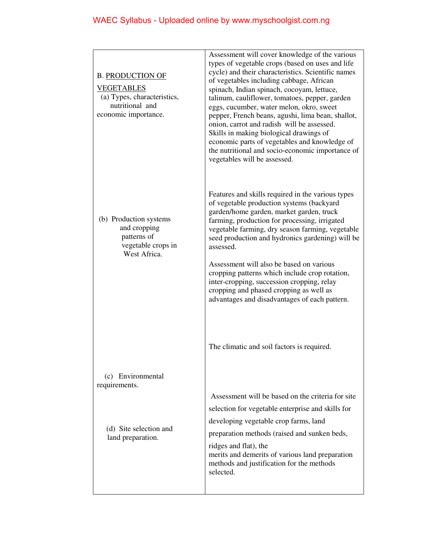| <b>B. PRODUCTION OF</b><br><b>VEGETABLES</b><br>(a) Types, characteristics,<br>nutritional and<br>economic importance. | Assessment will cover knowledge of the various<br>types of vegetable crops (based on uses and life<br>cycle) and their characteristics. Scientific names<br>of vegetables including cabbage, African<br>spinach, Indian spinach, cocoyam, lettuce,<br>talinum, cauliflower, tomatoes, pepper, garden<br>eggs, cucumber, water melon, okro, sweet<br>pepper, French beans, agushi, lima bean, shallot,<br>onion, carrot and radish will be assessed.<br>Skills in making biological drawings of<br>economic parts of vegetables and knowledge of<br>the nutritional and socio-economic importance of<br>vegetables will be assessed. |
|------------------------------------------------------------------------------------------------------------------------|-------------------------------------------------------------------------------------------------------------------------------------------------------------------------------------------------------------------------------------------------------------------------------------------------------------------------------------------------------------------------------------------------------------------------------------------------------------------------------------------------------------------------------------------------------------------------------------------------------------------------------------|
| (b) Production systems<br>and cropping<br>patterns of<br>vegetable crops in<br>West Africa.                            | Features and skills required in the various types<br>of vegetable production systems (backyard<br>garden/home garden, market garden, truck<br>farming, production for processing, irrigated<br>vegetable farming, dry season farming, vegetable<br>seed production and hydronics gardening) will be<br>assessed.<br>Assessment will also be based on various<br>cropping patterns which include crop rotation,<br>inter-cropping, succession cropping, relay<br>cropping and phased cropping as well as                                                                                                                             |
|                                                                                                                        | advantages and disadvantages of each pattern.<br>The climatic and soil factors is required.                                                                                                                                                                                                                                                                                                                                                                                                                                                                                                                                         |
| (c) Environmental<br>requirements.                                                                                     |                                                                                                                                                                                                                                                                                                                                                                                                                                                                                                                                                                                                                                     |
|                                                                                                                        | Assessment will be based on the criteria for site                                                                                                                                                                                                                                                                                                                                                                                                                                                                                                                                                                                   |
|                                                                                                                        | selection for vegetable enterprise and skills for                                                                                                                                                                                                                                                                                                                                                                                                                                                                                                                                                                                   |
| (d) Site selection and                                                                                                 | developing vegetable crop farms, land                                                                                                                                                                                                                                                                                                                                                                                                                                                                                                                                                                                               |
| land preparation.                                                                                                      | preparation methods (raised and sunken beds,                                                                                                                                                                                                                                                                                                                                                                                                                                                                                                                                                                                        |
|                                                                                                                        | ridges and flat), the<br>merits and demerits of various land preparation<br>methods and justification for the methods<br>selected.                                                                                                                                                                                                                                                                                                                                                                                                                                                                                                  |
|                                                                                                                        |                                                                                                                                                                                                                                                                                                                                                                                                                                                                                                                                                                                                                                     |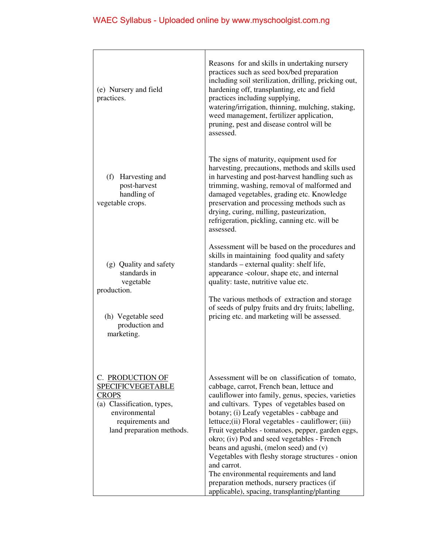| (e) Nursery and field<br>practices.                                                                                                                          | Reasons for and skills in undertaking nursery<br>practices such as seed box/bed preparation<br>including soil sterilization, drilling, pricking out,<br>hardening off, transplanting, etc and field<br>practices including supplying,<br>watering/irrigation, thinning, mulching, staking,<br>weed management, fertilizer application,<br>pruning, pest and disease control will be<br>assessed.                                                                                                                                                                                                                                                                   |
|--------------------------------------------------------------------------------------------------------------------------------------------------------------|--------------------------------------------------------------------------------------------------------------------------------------------------------------------------------------------------------------------------------------------------------------------------------------------------------------------------------------------------------------------------------------------------------------------------------------------------------------------------------------------------------------------------------------------------------------------------------------------------------------------------------------------------------------------|
| (f) Harvesting and<br>post-harvest<br>handling of<br>vegetable crops.                                                                                        | The signs of maturity, equipment used for<br>harvesting, precautions, methods and skills used<br>in harvesting and post-harvest handling such as<br>trimming, washing, removal of malformed and<br>damaged vegetables, grading etc. Knowledge<br>preservation and processing methods such as<br>drying, curing, milling, pasteurization,<br>refrigeration, pickling, canning etc. will be<br>assessed.                                                                                                                                                                                                                                                             |
| (g) Quality and safety<br>standards in<br>vegetable<br>production.<br>(h) Vegetable seed<br>production and<br>marketing.                                     | Assessment will be based on the procedures and<br>skills in maintaining food quality and safety<br>standards – external quality: shelf life,<br>appearance -colour, shape etc, and internal<br>quality: taste, nutritive value etc.<br>The various methods of extraction and storage<br>of seeds of pulpy fruits and dry fruits; labelling,<br>pricing etc. and marketing will be assessed.                                                                                                                                                                                                                                                                        |
| C. PRODUCTION OF<br><b>SPECIFICVEGETABLE</b><br><b>CROPS</b><br>(a) Classification, types,<br>environmental<br>requirements and<br>land preparation methods. | Assessment will be on classification of tomato,<br>cabbage, carrot, French bean, lettuce and<br>cauliflower into family, genus, species, varieties<br>and cultivars. Types of vegetables based on<br>botany; (i) Leafy vegetables - cabbage and<br>lettuce; (ii) Floral vegetables - cauliflower; (iii)<br>Fruit vegetables - tomatoes, pepper, garden eggs,<br>okro; (iv) Pod and seed vegetables - French<br>beans and agushi, (melon seed) and (v)<br>Vegetables with fleshy storage structures - onion<br>and carrot.<br>The environmental requirements and land<br>preparation methods, nursery practices (if<br>applicable), spacing, transplanting/planting |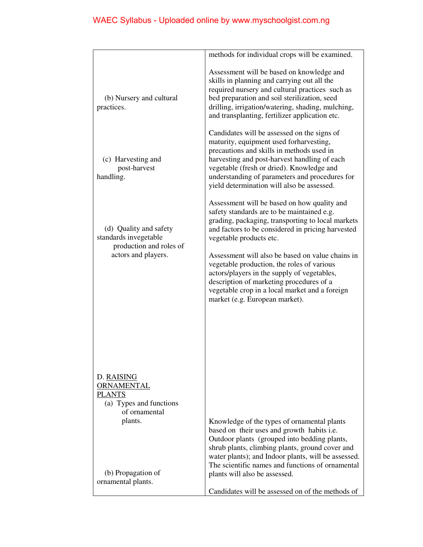|                                                                                                         | methods for individual crops will be examined.                                                                                                                                                                                                                                                                                                                                                                                                                                                                  |
|---------------------------------------------------------------------------------------------------------|-----------------------------------------------------------------------------------------------------------------------------------------------------------------------------------------------------------------------------------------------------------------------------------------------------------------------------------------------------------------------------------------------------------------------------------------------------------------------------------------------------------------|
| (b) Nursery and cultural<br>practices.                                                                  | Assessment will be based on knowledge and<br>skills in planning and carrying out all the<br>required nursery and cultural practices such as<br>bed preparation and soil sterilization, seed<br>drilling, irrigation/watering, shading, mulching,<br>and transplanting, fertilizer application etc.                                                                                                                                                                                                              |
| (c) Harvesting and<br>post-harvest<br>handling.                                                         | Candidates will be assessed on the signs of<br>maturity, equipment used forharvesting,<br>precautions and skills in methods used in<br>harvesting and post-harvest handling of each<br>vegetable (fresh or dried). Knowledge and<br>understanding of parameters and procedures for<br>yield determination will also be assessed.                                                                                                                                                                                |
| (d) Quality and safety<br>standards invegetable<br>production and roles of<br>actors and players.       | Assessment will be based on how quality and<br>safety standards are to be maintained e.g.<br>grading, packaging, transporting to local markets<br>and factors to be considered in pricing harvested<br>vegetable products etc.<br>Assessment will also be based on value chains in<br>vegetable production, the roles of various<br>actors/players in the supply of vegetables,<br>description of marketing procedures of a<br>vegetable crop in a local market and a foreign<br>market (e.g. European market). |
| D. RAISING<br><b>ORNAMENTAL</b><br><b>PLANTS</b><br>(a) Types and functions<br>of ornamental<br>plants. | Knowledge of the types of ornamental plants<br>based on their uses and growth habits i.e.<br>Outdoor plants (grouped into bedding plants,<br>shrub plants, climbing plants, ground cover and                                                                                                                                                                                                                                                                                                                    |
| (b) Propagation of<br>ornamental plants.                                                                | water plants); and Indoor plants, will be assessed.<br>The scientific names and functions of ornamental<br>plants will also be assessed.<br>Candidates will be assessed on of the methods of                                                                                                                                                                                                                                                                                                                    |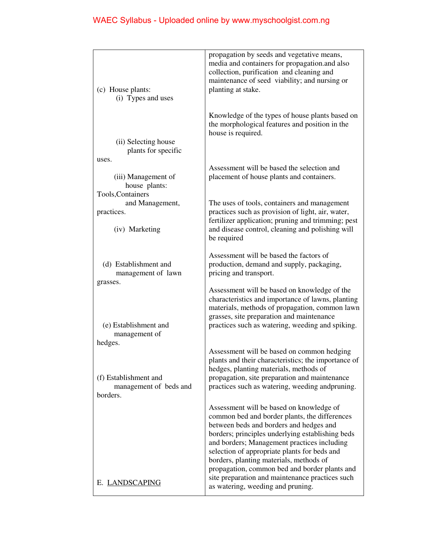| (c) House plants:<br>(i) Types and uses                            | propagation by seeds and vegetative means,<br>media and containers for propagation.and also<br>collection, purification and cleaning and<br>maintenance of seed viability; and nursing or<br>planting at stake.                                                                                                                                                                                                                                                             |
|--------------------------------------------------------------------|-----------------------------------------------------------------------------------------------------------------------------------------------------------------------------------------------------------------------------------------------------------------------------------------------------------------------------------------------------------------------------------------------------------------------------------------------------------------------------|
| (ii) Selecting house<br>plants for specific                        | Knowledge of the types of house plants based on<br>the morphological features and position in the<br>house is required.                                                                                                                                                                                                                                                                                                                                                     |
| uses.<br>(iii) Management of<br>house plants:<br>Tools, Containers | Assessment will be based the selection and<br>placement of house plants and containers.                                                                                                                                                                                                                                                                                                                                                                                     |
| and Management,<br>practices.<br>(iv) Marketing                    | The uses of tools, containers and management<br>practices such as provision of light, air, water,<br>fertilizer application; pruning and trimming; pest<br>and disease control, cleaning and polishing will<br>be required                                                                                                                                                                                                                                                  |
| (d) Establishment and<br>management of lawn<br>grasses.            | Assessment will be based the factors of<br>production, demand and supply, packaging,<br>pricing and transport.                                                                                                                                                                                                                                                                                                                                                              |
| (e) Establishment and<br>management of<br>hedges.                  | Assessment will be based on knowledge of the<br>characteristics and importance of lawns, planting<br>materials, methods of propagation, common lawn<br>grasses, site preparation and maintenance<br>practices such as watering, weeding and spiking.                                                                                                                                                                                                                        |
| (f) Establishment and<br>management of beds and<br>borders.        | Assessment will be based on common hedging<br>plants and their characteristics; the importance of<br>hedges, planting materials, methods of<br>propagation, site preparation and maintenance<br>practices such as watering, weeding andpruning.                                                                                                                                                                                                                             |
| E. LANDSCAPING                                                     | Assessment will be based on knowledge of<br>common bed and border plants, the differences<br>between beds and borders and hedges and<br>borders; principles underlying establishing beds<br>and borders; Management practices including<br>selection of appropriate plants for beds and<br>borders, planting materials, methods of<br>propagation, common bed and border plants and<br>site preparation and maintenance practices such<br>as watering, weeding and pruning. |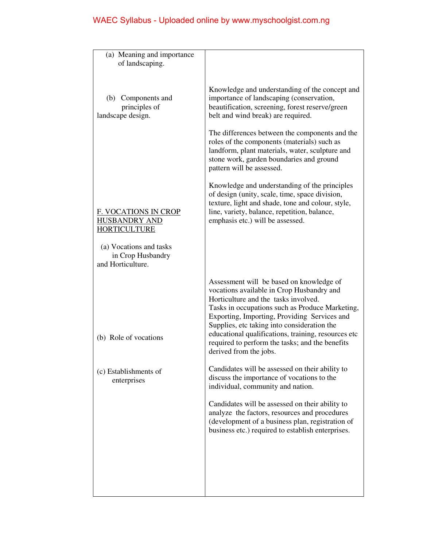| (a) Meaning and importance<br>of landscaping.                              |                                                                                                                                                                                                                                                                                                                                                                                                                     |
|----------------------------------------------------------------------------|---------------------------------------------------------------------------------------------------------------------------------------------------------------------------------------------------------------------------------------------------------------------------------------------------------------------------------------------------------------------------------------------------------------------|
|                                                                            |                                                                                                                                                                                                                                                                                                                                                                                                                     |
| (b) Components and<br>principles of<br>landscape design.                   | Knowledge and understanding of the concept and<br>importance of landscaping (conservation,<br>beautification, screening, forest reserve/green<br>belt and wind break) are required.                                                                                                                                                                                                                                 |
|                                                                            | The differences between the components and the<br>roles of the components (materials) such as<br>landform, plant materials, water, sculpture and<br>stone work, garden boundaries and ground<br>pattern will be assessed.                                                                                                                                                                                           |
| <b>F. VOCATIONS IN CROP</b><br><b>HUSBANDRY AND</b><br><b>HORTICULTURE</b> | Knowledge and understanding of the principles<br>of design (unity, scale, time, space division,<br>texture, light and shade, tone and colour, style,<br>line, variety, balance, repetition, balance,<br>emphasis etc.) will be assessed.                                                                                                                                                                            |
| (a) Vocations and tasks<br>in Crop Husbandry<br>and Horticulture.          |                                                                                                                                                                                                                                                                                                                                                                                                                     |
| (b) Role of vocations                                                      | Assessment will be based on knowledge of<br>vocations available in Crop Husbandry and<br>Horticulture and the tasks involved.<br>Tasks in occupations such as Produce Marketing,<br>Exporting, Importing, Providing Services and<br>Supplies, etc taking into consideration the<br>educational qualifications, training, resources etc<br>required to perform the tasks; and the benefits<br>derived from the jobs. |
| (c) Establishments of<br>enterprises                                       | Candidates will be assessed on their ability to<br>discuss the importance of vocations to the<br>individual, community and nation.                                                                                                                                                                                                                                                                                  |
|                                                                            | Candidates will be assessed on their ability to<br>analyze the factors, resources and procedures<br>(development of a business plan, registration of<br>business etc.) required to establish enterprises.                                                                                                                                                                                                           |
|                                                                            |                                                                                                                                                                                                                                                                                                                                                                                                                     |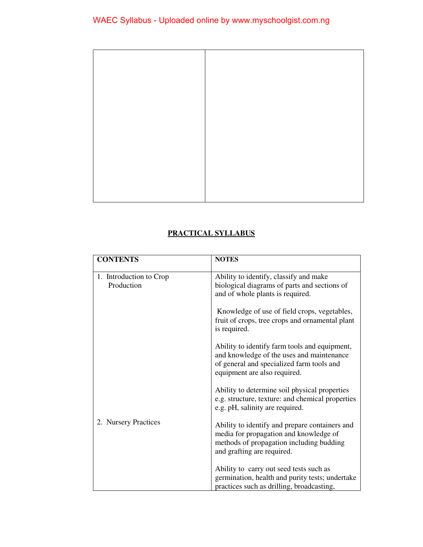#### **PRACTICAL SYLLABUS**

| <b>CONTENTS</b>                       | <b>NOTES</b>                                                                                                                                                            |
|---------------------------------------|-------------------------------------------------------------------------------------------------------------------------------------------------------------------------|
| 1. Introduction to Crop<br>Production | Ability to identify, classify and make<br>biological diagrams of parts and sections of<br>and of whole plants is required.                                              |
|                                       | Knowledge of use of field crops, vegetables,<br>fruit of crops, tree crops and ornamental plant<br>is required.                                                         |
|                                       | Ability to identify farm tools and equipment,<br>and knowledge of the uses and maintenance<br>of general and specialized farm tools and<br>equipment are also required. |
|                                       | Ability to determine soil physical properties<br>e.g. structure, texture: and chemical properties<br>e.g. pH, salinity are required.                                    |
| 2. Nursery Practices                  | Ability to identify and prepare containers and<br>media for propagation and knowledge of<br>methods of propagation including budding<br>and grafting are required.      |
|                                       | Ability to carry out seed tests such as<br>germination, health and purity tests; undertake<br>practices such as drilling, broadcasting,                                 |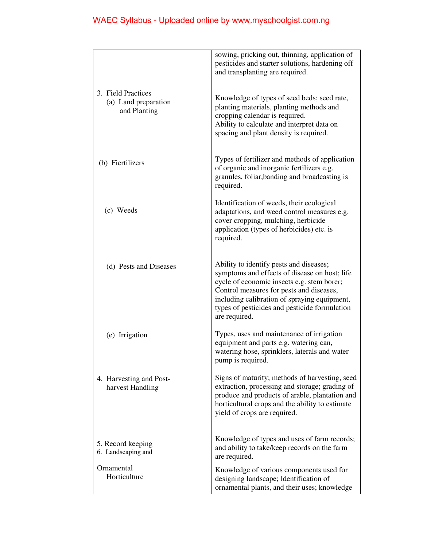|                                                            | sowing, pricking out, thinning, application of                                                                                                                                                                                                                                                       |
|------------------------------------------------------------|------------------------------------------------------------------------------------------------------------------------------------------------------------------------------------------------------------------------------------------------------------------------------------------------------|
|                                                            | pesticides and starter solutions, hardening off<br>and transplanting are required.                                                                                                                                                                                                                   |
| 3. Field Practices<br>(a) Land preparation<br>and Planting | Knowledge of types of seed beds; seed rate,<br>planting materials, planting methods and<br>cropping calendar is required.<br>Ability to calculate and interpret data on<br>spacing and plant density is required.                                                                                    |
| (b) Fiertilizers                                           | Types of fertilizer and methods of application<br>of organic and inorganic fertilizers e.g.<br>granules, foliar, banding and broadcasting is<br>required.                                                                                                                                            |
| (c) Weeds                                                  | Identification of weeds, their ecological<br>adaptations, and weed control measures e.g.<br>cover cropping, mulching, herbicide<br>application (types of herbicides) etc. is<br>required.                                                                                                            |
| (d) Pests and Diseases                                     | Ability to identify pests and diseases;<br>symptoms and effects of disease on host; life<br>cycle of economic insects e.g. stem borer;<br>Control measures for pests and diseases,<br>including calibration of spraying equipment,<br>types of pesticides and pesticide formulation<br>are required. |
| (e) Irrigation                                             | Types, uses and maintenance of irrigation<br>equipment and parts e.g. watering can,<br>watering hose, sprinklers, laterals and water<br>pump is required.                                                                                                                                            |
| 4. Harvesting and Post-<br>harvest Handling                | Signs of maturity; methods of harvesting, seed<br>extraction, processing and storage; grading of<br>produce and products of arable, plantation and<br>horticultural crops and the ability to estimate<br>yield of crops are required.                                                                |
| 5. Record keeping<br>6. Landscaping and                    | Knowledge of types and uses of farm records;<br>and ability to take/keep records on the farm<br>are required.                                                                                                                                                                                        |
| Ornamental<br>Horticulture                                 | Knowledge of various components used for<br>designing landscape; Identification of<br>ornamental plants, and their uses; knowledge                                                                                                                                                                   |